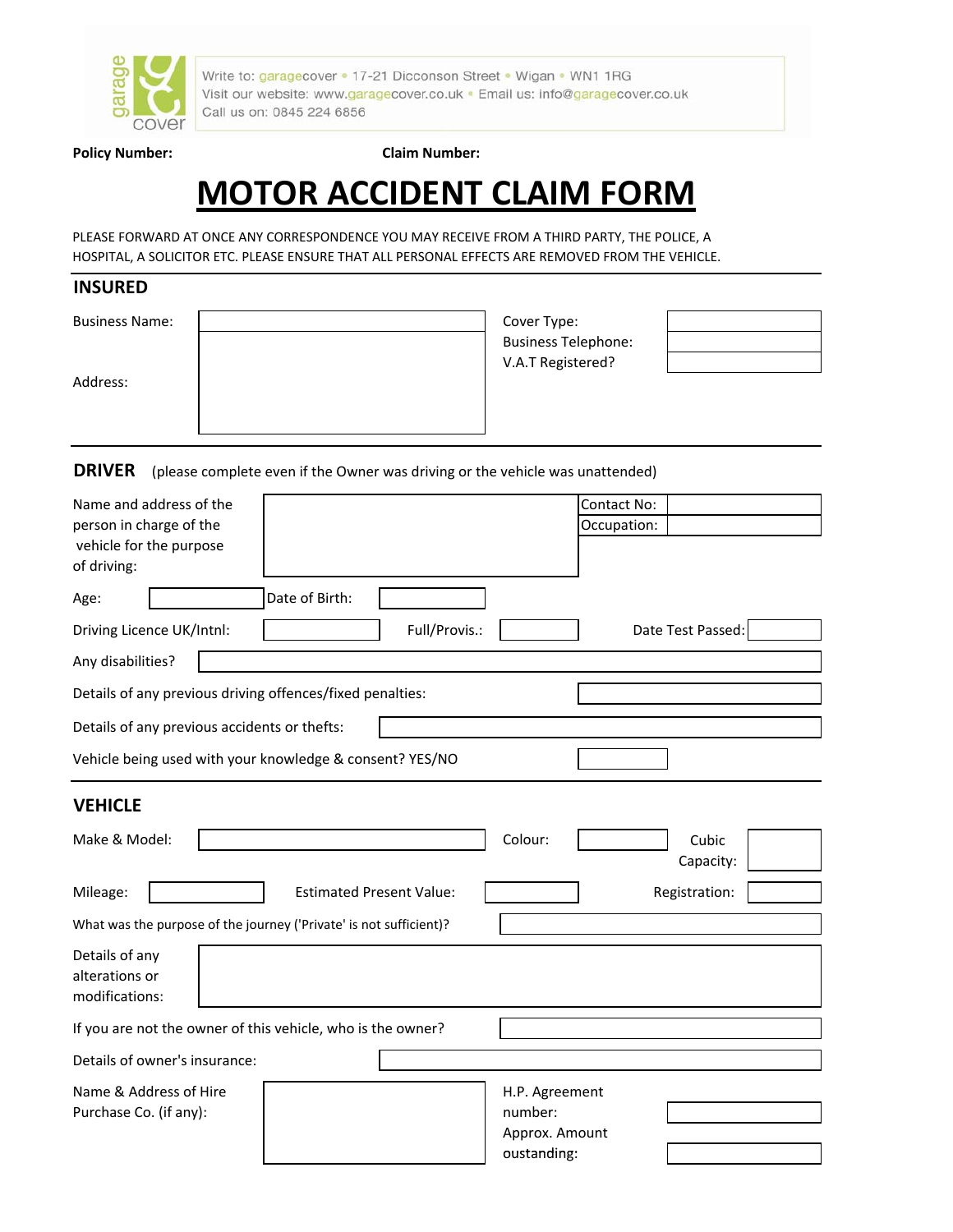

Write to: garagecover . 17-21 Dicconson Street . Wigan . WN1 1RG Visit our website: www.garagecover.co.uk · Email us: info@garagecover.co.uk Call us on: 0845 224 6856

### **Policy Number: Claim Number:**

# **MOTOR ACCIDENT CLAIM FORM**

PLEASE FORWARD AT ONCE ANY CORRESPONDENCE YOU MAY RECEIVE FROM A THIRD PARTY, THE POLICE, A HOSPITAL, A SOLICITOR ETC. PLEASE ENSURE THAT ALL PERSONAL EFFECTS ARE REMOVED FROM THE VEHICLE.

## **INSURED**

| <b>Business Name:</b> | Cover Type:                |  |
|-----------------------|----------------------------|--|
|                       | <b>Business Telephone:</b> |  |
|                       | V.A.T Registered?          |  |
| Address:              |                            |  |
|                       |                            |  |
|                       |                            |  |

**DRIVER** (please complete even if the Owner was driving or the vehicle was unattended)

| Name and address of the<br>person in charge of the<br>vehicle for the purpose |                                              |                                                           |                                                            |         | Contact No:<br>Occupation: |                    |  |
|-------------------------------------------------------------------------------|----------------------------------------------|-----------------------------------------------------------|------------------------------------------------------------|---------|----------------------------|--------------------|--|
| of driving:                                                                   |                                              |                                                           |                                                            |         |                            |                    |  |
| Age:                                                                          |                                              | Date of Birth:                                            |                                                            |         |                            |                    |  |
| Driving Licence UK/Intnl:                                                     |                                              |                                                           | Full/Provis.:                                              |         |                            | Date Test Passed:  |  |
| Any disabilities?                                                             |                                              |                                                           |                                                            |         |                            |                    |  |
|                                                                               |                                              | Details of any previous driving offences/fixed penalties: |                                                            |         |                            |                    |  |
|                                                                               | Details of any previous accidents or thefts: |                                                           |                                                            |         |                            |                    |  |
|                                                                               |                                              | Vehicle being used with your knowledge & consent? YES/NO  |                                                            |         |                            |                    |  |
| <b>VEHICLE</b>                                                                |                                              |                                                           |                                                            |         |                            |                    |  |
| Make & Model:                                                                 |                                              |                                                           |                                                            | Colour: |                            | Cubic<br>Capacity: |  |
| Mileage:                                                                      |                                              |                                                           | <b>Estimated Present Value:</b>                            |         |                            | Registration:      |  |
| What was the purpose of the journey ('Private' is not sufficient)?            |                                              |                                                           |                                                            |         |                            |                    |  |
| Details of any<br>alterations or<br>modifications:                            |                                              |                                                           |                                                            |         |                            |                    |  |
| If you are not the owner of this vehicle, who is the owner?                   |                                              |                                                           |                                                            |         |                            |                    |  |
| Details of owner's insurance:                                                 |                                              |                                                           |                                                            |         |                            |                    |  |
| Name & Address of Hire<br>Purchase Co. (if any):                              |                                              |                                                           | H.P. Agreement<br>number:<br>Approx. Amount<br>oustanding: |         |                            |                    |  |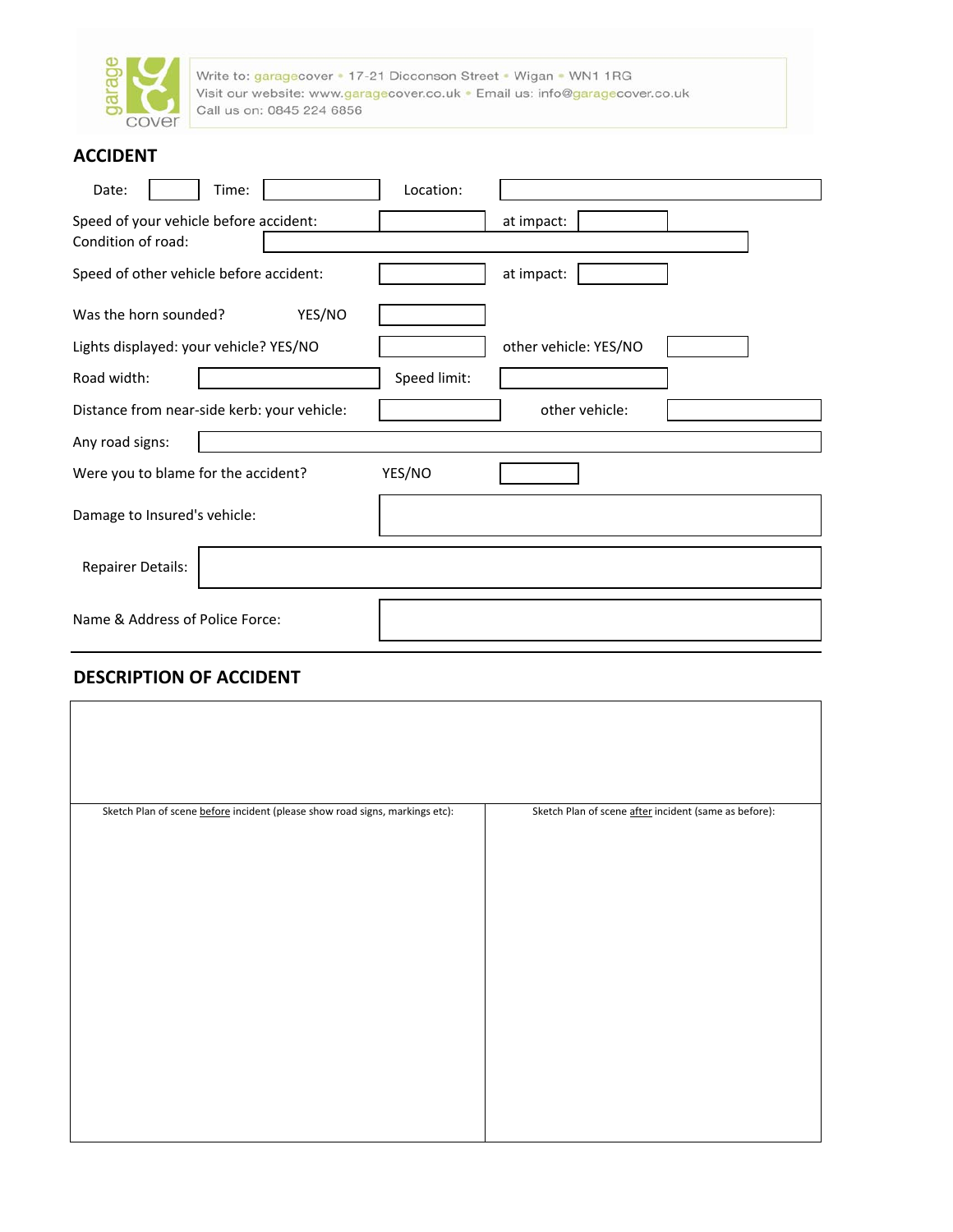

Write to: garagecover • 17-21 Dicconson Street • Wigan • WN1 1RG<br>Visit our website: www.garagecover.co.uk • Email us: info@garagecover.co.uk<br>Call us on: 0845 224 6856

## **ACCIDENT**

| Date:<br>Time:                                               | Location:             |
|--------------------------------------------------------------|-----------------------|
| Speed of your vehicle before accident:<br>Condition of road: | at impact:            |
| Speed of other vehicle before accident:                      | at impact:            |
| YES/NO<br>Was the horn sounded?                              |                       |
| Lights displayed: your vehicle? YES/NO                       | other vehicle: YES/NO |
| Road width:                                                  | Speed limit:          |
| Distance from near-side kerb: your vehicle:                  | other vehicle:        |
| Any road signs:                                              |                       |
| Were you to blame for the accident?                          | YES/NO                |
| Damage to Insured's vehicle:                                 |                       |
| <b>Repairer Details:</b>                                     |                       |
| Name & Address of Police Force:                              |                       |

# **DESCRIPTION OF ACCIDENT**

| Sketch Plan of scene before incident (please show road signs, markings etc): | Sketch Plan of scene after incident (same as before): |
|------------------------------------------------------------------------------|-------------------------------------------------------|
|                                                                              |                                                       |
|                                                                              |                                                       |
|                                                                              |                                                       |
|                                                                              |                                                       |
|                                                                              |                                                       |